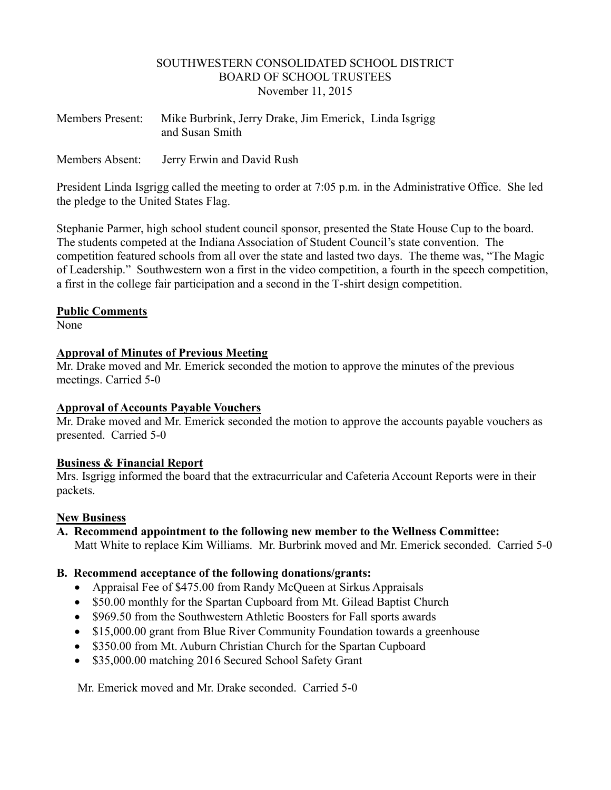#### SOUTHWESTERN CONSOLIDATED SCHOOL DISTRICT BOARD OF SCHOOL TRUSTEES November 11, 2015

| <b>Members Present:</b> | Mike Burbrink, Jerry Drake, Jim Emerick, Linda Isgrigg<br>and Susan Smith |
|-------------------------|---------------------------------------------------------------------------|
| Members Absent:         | Jerry Erwin and David Rush                                                |

President Linda Isgrigg called the meeting to order at 7:05 p.m. in the Administrative Office. She led the pledge to the United States Flag.

Stephanie Parmer, high school student council sponsor, presented the State House Cup to the board. The students competed at the Indiana Association of Student Council's state convention. The competition featured schools from all over the state and lasted two days. The theme was, "The Magic of Leadership." Southwestern won a first in the video competition, a fourth in the speech competition, a first in the college fair participation and a second in the T-shirt design competition.

#### **Public Comments**

None

# **Approval of Minutes of Previous Meeting**

Mr. Drake moved and Mr. Emerick seconded the motion to approve the minutes of the previous meetings. Carried 5-0

# **Approval of Accounts Payable Vouchers**

Mr. Drake moved and Mr. Emerick seconded the motion to approve the accounts payable vouchers as presented. Carried 5-0

# **Business & Financial Report**

Mrs. Isgrigg informed the board that the extracurricular and Cafeteria Account Reports were in their packets.

# **New Business**

**A. Recommend appointment to the following new member to the Wellness Committee:** Matt White to replace Kim Williams. Mr. Burbrink moved and Mr. Emerick seconded. Carried 5-0

# **B. Recommend acceptance of the following donations/grants:**

- Appraisal Fee of \$475.00 from Randy McQueen at Sirkus Appraisals
- \$50.00 monthly for the Spartan Cupboard from Mt. Gilead Baptist Church
- \$969.50 from the Southwestern Athletic Boosters for Fall sports awards
- \$15,000.00 grant from Blue River Community Foundation towards a greenhouse
- \$350.00 from Mt. Auburn Christian Church for the Spartan Cupboard
- \$35,000.00 matching 2016 Secured School Safety Grant

Mr. Emerick moved and Mr. Drake seconded. Carried 5-0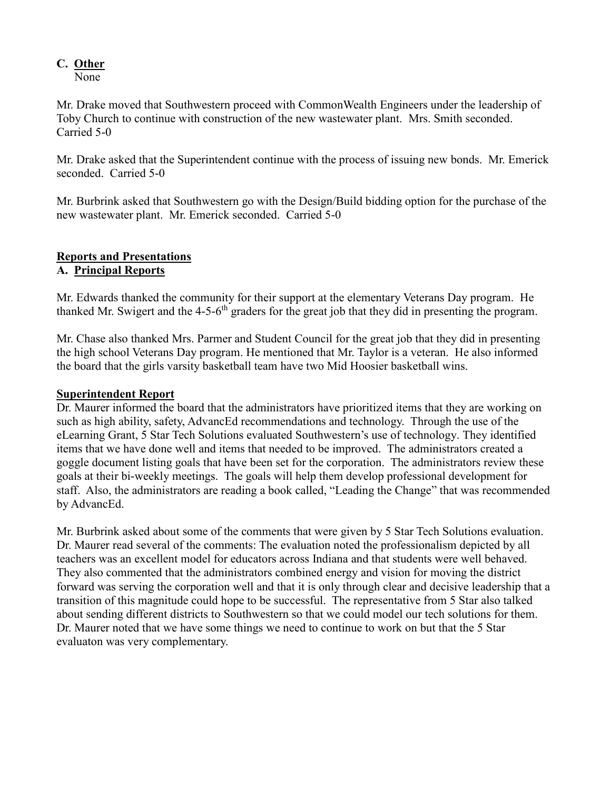# **C. Other**

None

Mr. Drake moved that Southwestern proceed with CommonWealth Engineers under the leadership of Toby Church to continue with construction of the new wastewater plant. Mrs. Smith seconded. Carried 5-0

Mr. Drake asked that the Superintendent continue with the process of issuing new bonds. Mr. Emerick seconded. Carried 5-0

Mr. Burbrink asked that Southwestern go with the Design/Build bidding option for the purchase of the new wastewater plant. Mr. Emerick seconded. Carried 5-0

#### **Reports and Presentations A. Principal Reports**

Mr. Edwards thanked the community for their support at the elementary Veterans Day program. He thanked Mr. Swigert and the  $4-5-6$ <sup>th</sup> graders for the great job that they did in presenting the program.

Mr. Chase also thanked Mrs. Parmer and Student Council for the great job that they did in presenting the high school Veterans Day program. He mentioned that Mr. Taylor is a veteran. He also informed the board that the girls varsity basketball team have two Mid Hoosier basketball wins.

# **Superintendent Report**

Dr. Maurer informed the board that the administrators have prioritized items that they are working on such as high ability, safety, AdvancEd recommendations and technology. Through the use of the eLearning Grant, 5 Star Tech Solutions evaluated Southwestern's use of technology. They identified items that we have done well and items that needed to be improved. The administrators created a goggle document listing goals that have been set for the corporation. The administrators review these goals at their bi-weekly meetings. The goals will help them develop professional development for staff. Also, the administrators are reading a book called, "Leading the Change" that was recommended by AdvancEd.

Mr. Burbrink asked about some of the comments that were given by 5 Star Tech Solutions evaluation. Dr. Maurer read several of the comments: The evaluation noted the professionalism depicted by all teachers was an excellent model for educators across Indiana and that students were well behaved. They also commented that the administrators combined energy and vision for moving the district forward was serving the corporation well and that it is only through clear and decisive leadership that a transition of this magnitude could hope to be successful. The representative from 5 Star also talked about sending different districts to Southwestern so that we could model our tech solutions for them. Dr. Maurer noted that we have some things we need to continue to work on but that the 5 Star evaluaton was very complementary.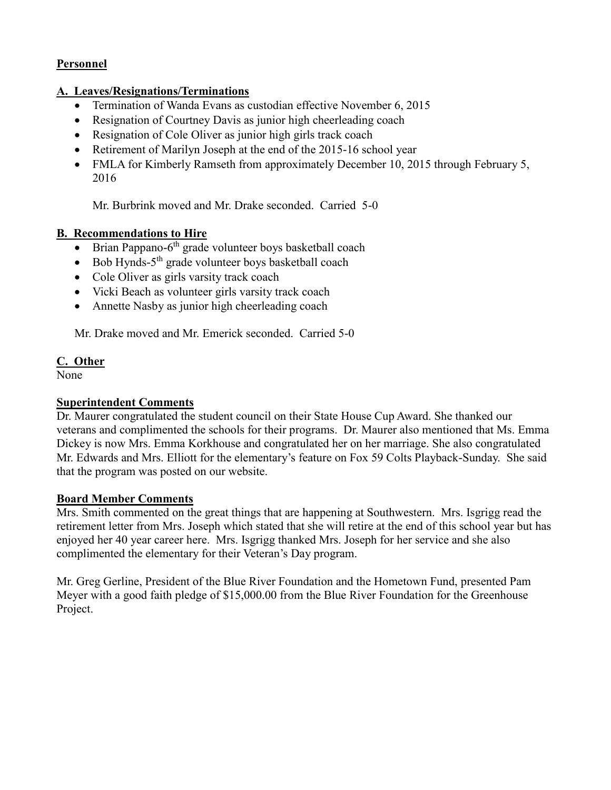# **Personnel**

# **A. Leaves/Resignations/Terminations**

- Termination of Wanda Evans as custodian effective November 6, 2015
- Resignation of Courtney Davis as junior high cheerleading coach
- Resignation of Cole Oliver as junior high girls track coach
- Retirement of Marilyn Joseph at the end of the 2015-16 school year
- FMLA for Kimberly Ramseth from approximately December 10, 2015 through February 5, 2016

Mr. Burbrink moved and Mr. Drake seconded. Carried 5-0

# **B. Recommendations to Hire**

- $\bullet$  Brian Pappano-6<sup>th</sup> grade volunteer boys basketball coach
- Bob Hynds-5<sup>th</sup> grade volunteer boys basketball coach
- Cole Oliver as girls varsity track coach
- Vicki Beach as volunteer girls varsity track coach
- Annette Nasby as junior high cheerleading coach

Mr. Drake moved and Mr. Emerick seconded. Carried 5-0

# **C. Other**

None

# **Superintendent Comments**

Dr. Maurer congratulated the student council on their State House Cup Award. She thanked our veterans and complimented the schools for their programs. Dr. Maurer also mentioned that Ms. Emma Dickey is now Mrs. Emma Korkhouse and congratulated her on her marriage. She also congratulated Mr. Edwards and Mrs. Elliott for the elementary's feature on Fox 59 Colts Playback-Sunday. She said that the program was posted on our website.

# **Board Member Comments**

Mrs. Smith commented on the great things that are happening at Southwestern. Mrs. Isgrigg read the retirement letter from Mrs. Joseph which stated that she will retire at the end of this school year but has enjoyed her 40 year career here. Mrs. Isgrigg thanked Mrs. Joseph for her service and she also complimented the elementary for their Veteran's Day program.

Mr. Greg Gerline, President of the Blue River Foundation and the Hometown Fund, presented Pam Meyer with a good faith pledge of \$15,000.00 from the Blue River Foundation for the Greenhouse Project.